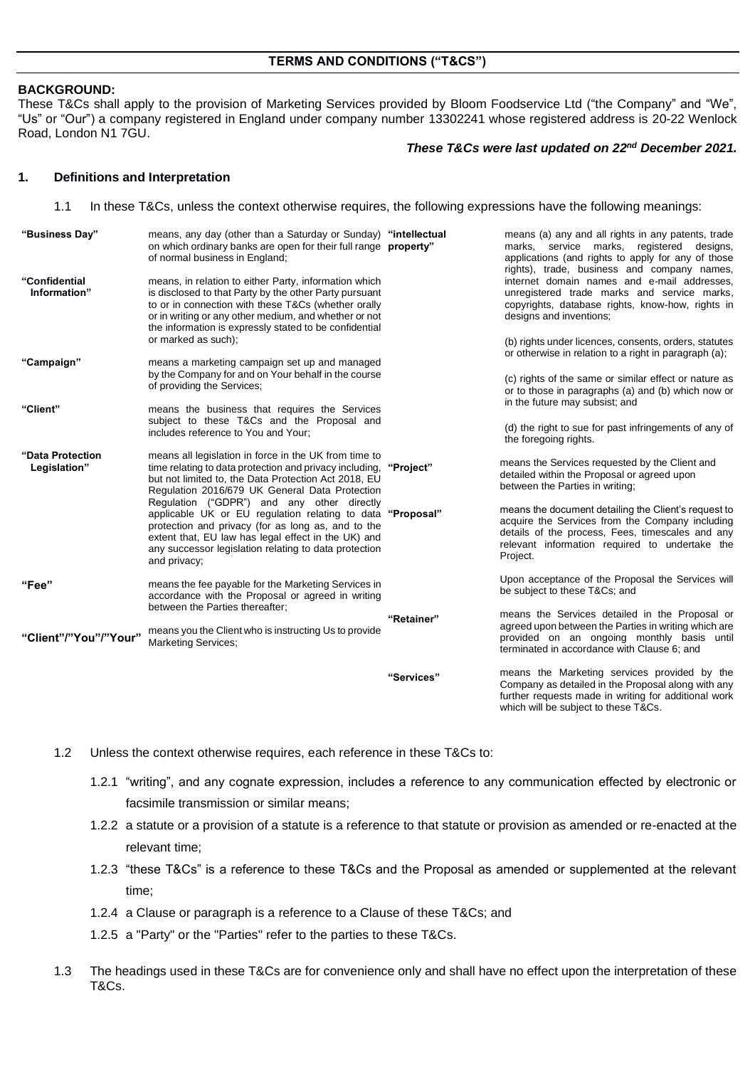### **BACKGROUND:**

These T&Cs shall apply to the provision of Marketing Services provided by Bloom Foodservice Ltd ("the Company" and "We", "Us" or "Our") a company registered in England under company number 13302241 whose registered address is 20-22 Wenlock Road, London N1 7GU.

#### *These T&Cs were last updated on 22nd December 2021.*

Company as detailed in the Proposal along with any further requests made in writing for additional work

which will be subject to these T&Cs.

#### **1. Definitions and Interpretation**

1.1 In these T&Cs, unless the context otherwise requires, the following expressions have the following meanings:

| "Business Day"                   | means, any day (other than a Saturday or Sunday) "intellectual<br>on which ordinary banks are open for their full range <b>property</b> "<br>of normal business in England;                                                                                                                                                                                                                                                                                                                                                  |            | means (a) any and all rights in any patents, trade<br>marks, service marks, registered designs,<br>applications (and rights to apply for any of those<br>rights), trade, business and company names,                      |
|----------------------------------|------------------------------------------------------------------------------------------------------------------------------------------------------------------------------------------------------------------------------------------------------------------------------------------------------------------------------------------------------------------------------------------------------------------------------------------------------------------------------------------------------------------------------|------------|---------------------------------------------------------------------------------------------------------------------------------------------------------------------------------------------------------------------------|
| "Confidential<br>Information"    | means, in relation to either Party, information which<br>is disclosed to that Party by the other Party pursuant<br>to or in connection with these T&Cs (whether orally<br>or in writing or any other medium, and whether or not<br>the information is expressly stated to be confidential                                                                                                                                                                                                                                    |            | internet domain names and e-mail addresses,<br>unregistered trade marks and service marks,<br>copyrights, database rights, know-how, rights in<br>designs and inventions;                                                 |
|                                  | or marked as such);                                                                                                                                                                                                                                                                                                                                                                                                                                                                                                          |            | (b) rights under licences, consents, orders, statutes<br>or otherwise in relation to a right in paragraph (a);                                                                                                            |
| "Campaign"                       | means a marketing campaign set up and managed<br>by the Company for and on Your behalf in the course<br>of providing the Services;                                                                                                                                                                                                                                                                                                                                                                                           |            | (c) rights of the same or similar effect or nature as<br>or to those in paragraphs (a) and (b) which now or<br>in the future may subsist; and                                                                             |
| "Client"                         | means the business that requires the Services<br>subject to these T&Cs and the Proposal and<br>includes reference to You and Your:                                                                                                                                                                                                                                                                                                                                                                                           |            | (d) the right to sue for past infringements of any of<br>the foregoing rights.                                                                                                                                            |
| "Data Protection<br>Legislation" | means all legislation in force in the UK from time to<br>time relating to data protection and privacy including.<br>but not limited to, the Data Protection Act 2018, EU<br>Regulation 2016/679 UK General Data Protection<br>Regulation ("GDPR") and any other directly<br>applicable UK or EU regulation relating to data "Proposal"<br>protection and privacy (for as long as, and to the<br>extent that, EU law has legal effect in the UK) and<br>any successor legislation relating to data protection<br>and privacy; | "Project"  | means the Services requested by the Client and<br>detailed within the Proposal or agreed upon<br>between the Parties in writing;                                                                                          |
|                                  |                                                                                                                                                                                                                                                                                                                                                                                                                                                                                                                              |            | means the document detailing the Client's request to<br>acquire the Services from the Company including<br>details of the process, Fees, timescales and any<br>relevant information required to undertake the<br>Project. |
| "Fee"                            | means the fee payable for the Marketing Services in<br>accordance with the Proposal or agreed in writing                                                                                                                                                                                                                                                                                                                                                                                                                     |            | Upon acceptance of the Proposal the Services will<br>be subject to these T&Cs and                                                                                                                                         |
| "Client"/"You"/"Your"            | between the Parties thereafter;<br>means you the Client who is instructing Us to provide<br><b>Marketing Services;</b>                                                                                                                                                                                                                                                                                                                                                                                                       | "Retainer" | means the Services detailed in the Proposal or<br>agreed upon between the Parties in writing which are<br>provided on an ongoing monthly basis until<br>terminated in accordance with Clause 6; and                       |
|                                  |                                                                                                                                                                                                                                                                                                                                                                                                                                                                                                                              | "Services" | means the Marketing services provided by the<br>$\bigcap$ and a set of a set of the differential $\bigcap_{i=1}^n A_i$ and a set of the set of $A_i$ .                                                                    |

1.2 Unless the context otherwise requires, each reference in these T&Cs to:

- 1.2.1 "writing", and any cognate expression, includes a reference to any communication effected by electronic or facsimile transmission or similar means;
- 1.2.2 a statute or a provision of a statute is a reference to that statute or provision as amended or re-enacted at the relevant time;
- 1.2.3 "these T&Cs" is a reference to these T&Cs and the Proposal as amended or supplemented at the relevant time;
- 1.2.4 a Clause or paragraph is a reference to a Clause of these T&Cs; and
- 1.2.5 a "Party" or the "Parties" refer to the parties to these T&Cs.
- 1.3 The headings used in these T&Cs are for convenience only and shall have no effect upon the interpretation of these T&Cs.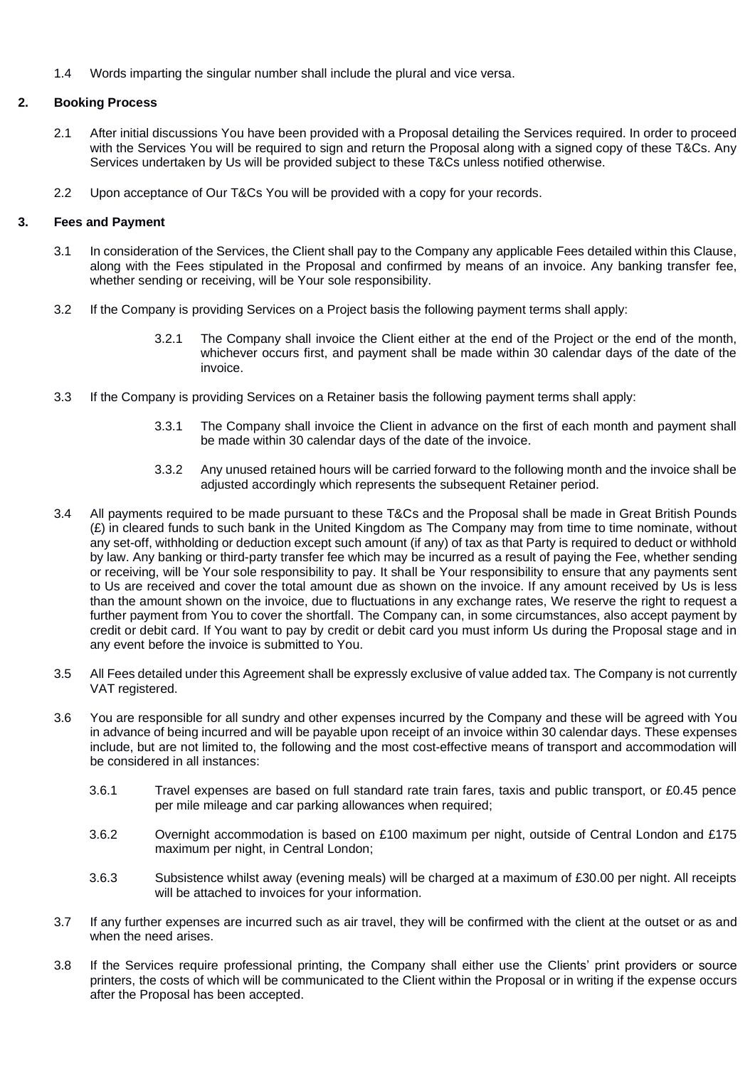1.4 Words imparting the singular number shall include the plural and vice versa.

## **2. Booking Process**

- 2.1 After initial discussions You have been provided with a Proposal detailing the Services required. In order to proceed with the Services You will be required to sign and return the Proposal along with a signed copy of these T&Cs. Any Services undertaken by Us will be provided subject to these T&Cs unless notified otherwise.
- 2.2 Upon acceptance of Our T&Cs You will be provided with a copy for your records.

## **3. Fees and Payment**

- 3.1 In consideration of the Services, the Client shall pay to the Company any applicable Fees detailed within this Clause, along with the Fees stipulated in the Proposal and confirmed by means of an invoice. Any banking transfer fee, whether sending or receiving, will be Your sole responsibility.
- 3.2 If the Company is providing Services on a Project basis the following payment terms shall apply:
	- 3.2.1 The Company shall invoice the Client either at the end of the Project or the end of the month, whichever occurs first, and payment shall be made within 30 calendar days of the date of the invoice.
- 3.3 If the Company is providing Services on a Retainer basis the following payment terms shall apply:
	- 3.3.1 The Company shall invoice the Client in advance on the first of each month and payment shall be made within 30 calendar days of the date of the invoice.
	- 3.3.2 Any unused retained hours will be carried forward to the following month and the invoice shall be adjusted accordingly which represents the subsequent Retainer period.
- 3.4 All payments required to be made pursuant to these T&Cs and the Proposal shall be made in Great British Pounds (£) in cleared funds to such bank in the United Kingdom as The Company may from time to time nominate, without any set-off, withholding or deduction except such amount (if any) of tax as that Party is required to deduct or withhold by law. Any banking or third-party transfer fee which may be incurred as a result of paying the Fee, whether sending or receiving, will be Your sole responsibility to pay. It shall be Your responsibility to ensure that any payments sent to Us are received and cover the total amount due as shown on the invoice. If any amount received by Us is less than the amount shown on the invoice, due to fluctuations in any exchange rates, We reserve the right to request a further payment from You to cover the shortfall. The Company can, in some circumstances, also accept payment by credit or debit card. If You want to pay by credit or debit card you must inform Us during the Proposal stage and in any event before the invoice is submitted to You.
- 3.5 All Fees detailed under this Agreement shall be expressly exclusive of value added tax. The Company is not currently VAT registered.
- 3.6 You are responsible for all sundry and other expenses incurred by the Company and these will be agreed with You in advance of being incurred and will be payable upon receipt of an invoice within 30 calendar days. These expenses include, but are not limited to, the following and the most cost-effective means of transport and accommodation will be considered in all instances:
	- 3.6.1 Travel expenses are based on full standard rate train fares, taxis and public transport, or £0.45 pence per mile mileage and car parking allowances when required;
	- 3.6.2 Overnight accommodation is based on £100 maximum per night, outside of Central London and £175 maximum per night, in Central London;
	- 3.6.3 Subsistence whilst away (evening meals) will be charged at a maximum of £30.00 per night. All receipts will be attached to invoices for your information.
- 3.7 If any further expenses are incurred such as air travel, they will be confirmed with the client at the outset or as and when the need arises.
- 3.8 If the Services require professional printing, the Company shall either use the Clients' print providers or source printers, the costs of which will be communicated to the Client within the Proposal or in writing if the expense occurs after the Proposal has been accepted.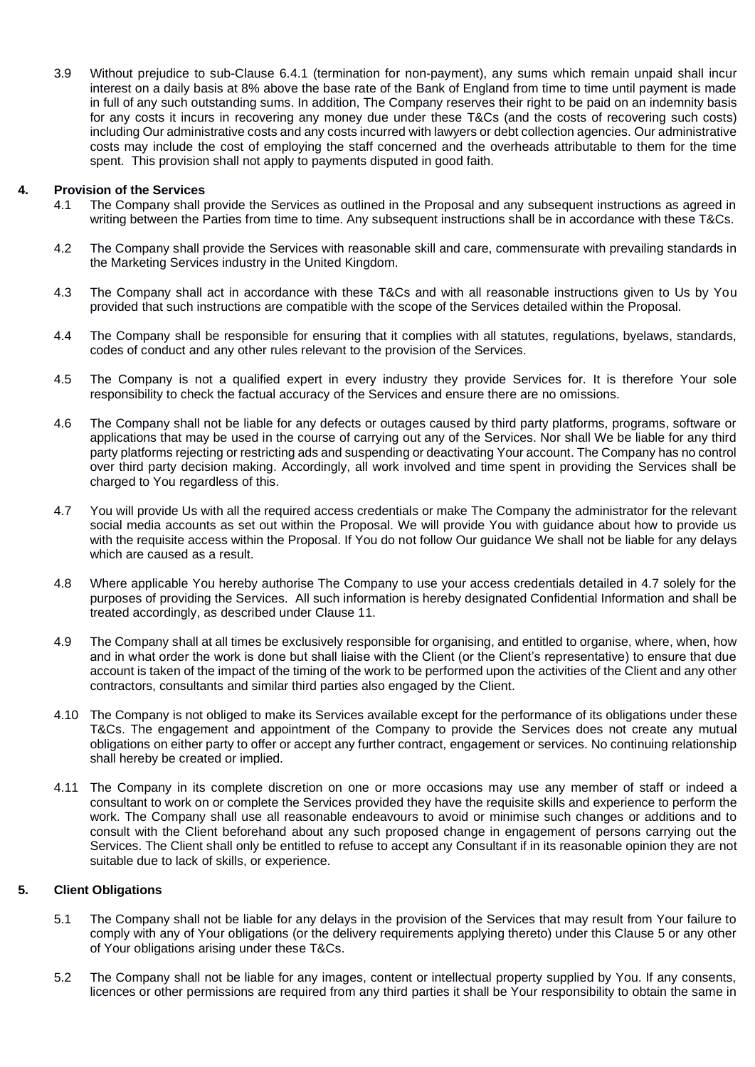3.9 Without prejudice to sub-Clause 6.4.1 (termination for non-payment), any sums which remain unpaid shall incur interest on a daily basis at 8% above the base rate of the Bank of England from time to time until payment is made in full of any such outstanding sums. In addition, The Company reserves their right to be paid on an indemnity basis for any costs it incurs in recovering any money due under these T&Cs (and the costs of recovering such costs) including Our administrative costs and any costs incurred with lawyers or debt collection agencies. Our administrative costs may include the cost of employing the staff concerned and the overheads attributable to them for the time spent. This provision shall not apply to payments disputed in good faith.

## **4. Provision of the Services**

- 4.1 The Company shall provide the Services as outlined in the Proposal and any subsequent instructions as agreed in writing between the Parties from time to time. Any subsequent instructions shall be in accordance with these T&Cs.
- 4.2 The Company shall provide the Services with reasonable skill and care, commensurate with prevailing standards in the Marketing Services industry in the United Kingdom.
- 4.3 The Company shall act in accordance with these T&Cs and with all reasonable instructions given to Us by You provided that such instructions are compatible with the scope of the Services detailed within the Proposal.
- 4.4 The Company shall be responsible for ensuring that it complies with all statutes, regulations, byelaws, standards, codes of conduct and any other rules relevant to the provision of the Services.
- 4.5 The Company is not a qualified expert in every industry they provide Services for. It is therefore Your sole responsibility to check the factual accuracy of the Services and ensure there are no omissions.
- 4.6 The Company shall not be liable for any defects or outages caused by third party platforms, programs, software or applications that may be used in the course of carrying out any of the Services. Nor shall We be liable for any third party platforms rejecting or restricting ads and suspending or deactivating Your account. The Company has no control over third party decision making. Accordingly, all work involved and time spent in providing the Services shall be charged to You regardless of this.
- 4.7 You will provide Us with all the required access credentials or make The Company the administrator for the relevant social media accounts as set out within the Proposal. We will provide You with guidance about how to provide us with the requisite access within the Proposal. If You do not follow Our guidance We shall not be liable for any delays which are caused as a result.
- 4.8 Where applicable You hereby authorise The Company to use your access credentials detailed in 4.7 solely for the purposes of providing the Services. All such information is hereby designated Confidential Information and shall be treated accordingly, as described under Clause 11.
- 4.9 The Company shall at all times be exclusively responsible for organising, and entitled to organise, where, when, how and in what order the work is done but shall liaise with the Client (or the Client's representative) to ensure that due account is taken of the impact of the timing of the work to be performed upon the activities of the Client and any other contractors, consultants and similar third parties also engaged by the Client.
- 4.10 The Company is not obliged to make its Services available except for the performance of its obligations under these T&Cs. The engagement and appointment of the Company to provide the Services does not create any mutual obligations on either party to offer or accept any further contract, engagement or services. No continuing relationship shall hereby be created or implied.
- 4.11 The Company in its complete discretion on one or more occasions may use any member of staff or indeed a consultant to work on or complete the Services provided they have the requisite skills and experience to perform the work. The Company shall use all reasonable endeavours to avoid or minimise such changes or additions and to consult with the Client beforehand about any such proposed change in engagement of persons carrying out the Services. The Client shall only be entitled to refuse to accept any Consultant if in its reasonable opinion they are not suitable due to lack of skills, or experience.

## **5. Client Obligations**

- 5.1 The Company shall not be liable for any delays in the provision of the Services that may result from Your failure to comply with any of Your obligations (or the delivery requirements applying thereto) under this Clause 5 or any other of Your obligations arising under these T&Cs.
- 5.2 The Company shall not be liable for any images, content or intellectual property supplied by You. If any consents, licences or other permissions are required from any third parties it shall be Your responsibility to obtain the same in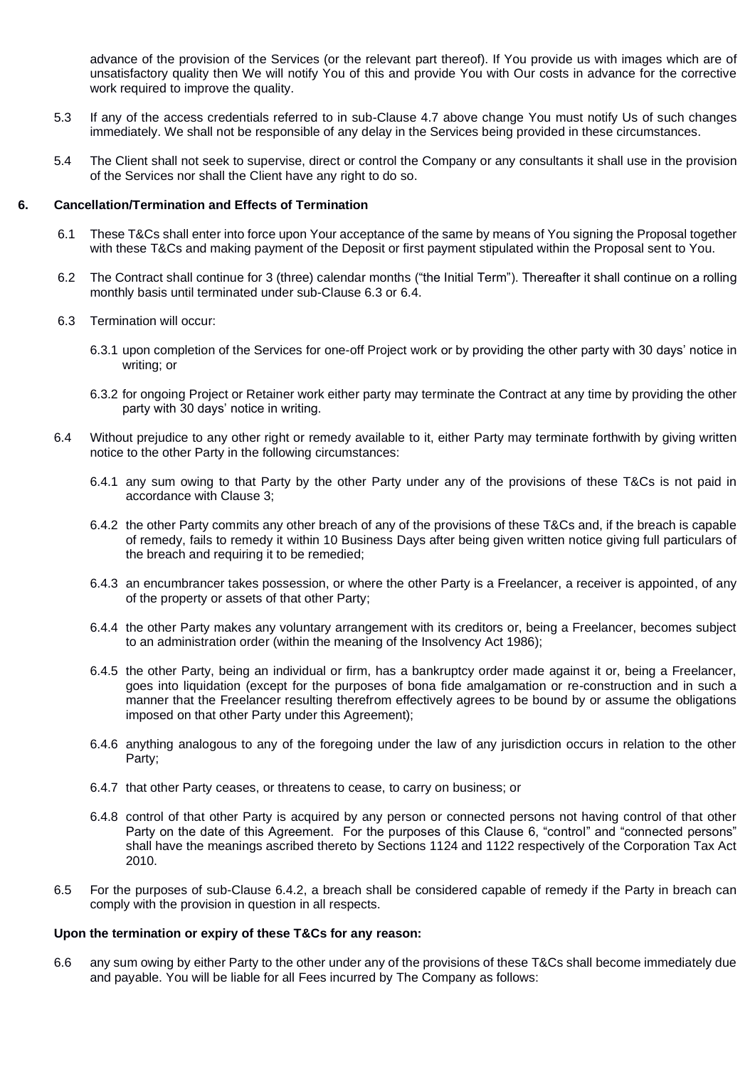advance of the provision of the Services (or the relevant part thereof). If You provide us with images which are of unsatisfactory quality then We will notify You of this and provide You with Our costs in advance for the corrective work required to improve the quality.

- 5.3 If any of the access credentials referred to in sub-Clause 4.7 above change You must notify Us of such changes immediately. We shall not be responsible of any delay in the Services being provided in these circumstances.
- 5.4 The Client shall not seek to supervise, direct or control the Company or any consultants it shall use in the provision of the Services nor shall the Client have any right to do so.

### **6. Cancellation/Termination and Effects of Termination**

- 6.1 These T&Cs shall enter into force upon Your acceptance of the same by means of You signing the Proposal together with these T&Cs and making payment of the Deposit or first payment stipulated within the Proposal sent to You.
- 6.2 The Contract shall continue for 3 (three) calendar months ("the Initial Term"). Thereafter it shall continue on a rolling monthly basis until terminated under sub-Clause 6.3 or 6.4.
- 6.3 Termination will occur:
	- 6.3.1 upon completion of the Services for one-off Project work or by providing the other party with 30 days' notice in writing; or
	- 6.3.2 for ongoing Project or Retainer work either party may terminate the Contract at any time by providing the other party with 30 days' notice in writing.
- 6.4 Without prejudice to any other right or remedy available to it, either Party may terminate forthwith by giving written notice to the other Party in the following circumstances:
	- 6.4.1 any sum owing to that Party by the other Party under any of the provisions of these T&Cs is not paid in accordance with Clause 3;
	- 6.4.2 the other Party commits any other breach of any of the provisions of these T&Cs and, if the breach is capable of remedy, fails to remedy it within 10 Business Days after being given written notice giving full particulars of the breach and requiring it to be remedied:
	- 6.4.3 an encumbrancer takes possession, or where the other Party is a Freelancer, a receiver is appointed, of any of the property or assets of that other Party;
	- 6.4.4 the other Party makes any voluntary arrangement with its creditors or, being a Freelancer, becomes subject to an administration order (within the meaning of the Insolvency Act 1986);
	- 6.4.5 the other Party, being an individual or firm, has a bankruptcy order made against it or, being a Freelancer, goes into liquidation (except for the purposes of bona fide amalgamation or re-construction and in such a manner that the Freelancer resulting therefrom effectively agrees to be bound by or assume the obligations imposed on that other Party under this Agreement);
	- 6.4.6 anything analogous to any of the foregoing under the law of any jurisdiction occurs in relation to the other Party;
	- 6.4.7 that other Party ceases, or threatens to cease, to carry on business; or
	- 6.4.8 control of that other Party is acquired by any person or connected persons not having control of that other Party on the date of this Agreement. For the purposes of this Clause 6, "control" and "connected persons" shall have the meanings ascribed thereto by Sections 1124 and 1122 respectively of the Corporation Tax Act 2010.
- 6.5 For the purposes of sub-Clause 6.4.2, a breach shall be considered capable of remedy if the Party in breach can comply with the provision in question in all respects.

#### **Upon the termination or expiry of these T&Cs for any reason:**

6.6 any sum owing by either Party to the other under any of the provisions of these T&Cs shall become immediately due and payable. You will be liable for all Fees incurred by The Company as follows: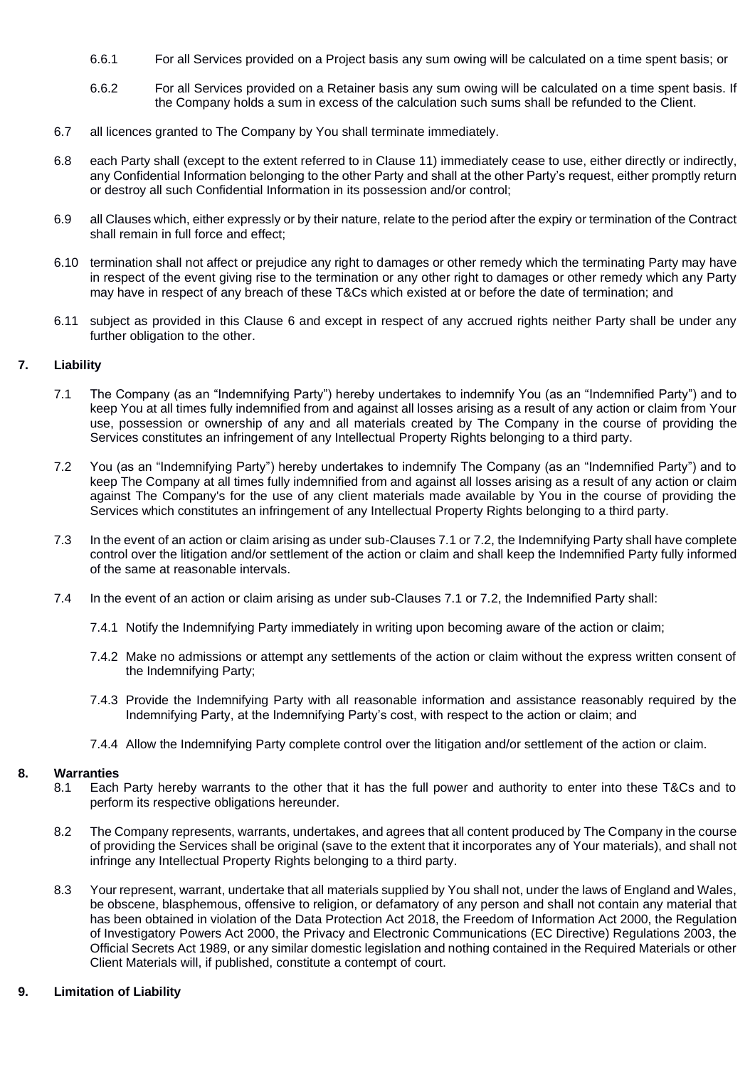- 6.6.1 For all Services provided on a Project basis any sum owing will be calculated on a time spent basis; or
- 6.6.2 For all Services provided on a Retainer basis any sum owing will be calculated on a time spent basis. If the Company holds a sum in excess of the calculation such sums shall be refunded to the Client.
- 6.7 all licences granted to The Company by You shall terminate immediately.
- 6.8 each Party shall (except to the extent referred to in Clause 11) immediately cease to use, either directly or indirectly, any Confidential Information belonging to the other Party and shall at the other Party's request, either promptly return or destroy all such Confidential Information in its possession and/or control;
- 6.9 all Clauses which, either expressly or by their nature, relate to the period after the expiry or termination of the Contract shall remain in full force and effect;
- 6.10 termination shall not affect or prejudice any right to damages or other remedy which the terminating Party may have in respect of the event giving rise to the termination or any other right to damages or other remedy which any Party may have in respect of any breach of these T&Cs which existed at or before the date of termination; and
- 6.11 subject as provided in this Clause 6 and except in respect of any accrued rights neither Party shall be under any further obligation to the other.

#### **7. Liability**

- 7.1 The Company (as an "Indemnifying Party") hereby undertakes to indemnify You (as an "Indemnified Party") and to keep You at all times fully indemnified from and against all losses arising as a result of any action or claim from Your use, possession or ownership of any and all materials created by The Company in the course of providing the Services constitutes an infringement of any Intellectual Property Rights belonging to a third party.
- 7.2 You (as an "Indemnifying Party") hereby undertakes to indemnify The Company (as an "Indemnified Party") and to keep The Company at all times fully indemnified from and against all losses arising as a result of any action or claim against The Company's for the use of any client materials made available by You in the course of providing the Services which constitutes an infringement of any Intellectual Property Rights belonging to a third party.
- 7.3 In the event of an action or claim arising as under sub-Clauses 7.1 or 7.2, the Indemnifying Party shall have complete control over the litigation and/or settlement of the action or claim and shall keep the Indemnified Party fully informed of the same at reasonable intervals.
- 7.4 In the event of an action or claim arising as under sub-Clauses 7.1 or 7.2, the Indemnified Party shall:
	- 7.4.1 Notify the Indemnifying Party immediately in writing upon becoming aware of the action or claim;
	- 7.4.2 Make no admissions or attempt any settlements of the action or claim without the express written consent of the Indemnifying Party;
	- 7.4.3 Provide the Indemnifying Party with all reasonable information and assistance reasonably required by the Indemnifying Party, at the Indemnifying Party's cost, with respect to the action or claim; and
	- 7.4.4 Allow the Indemnifying Party complete control over the litigation and/or settlement of the action or claim.

#### **8. Warranties**

- 8.1 Each Party hereby warrants to the other that it has the full power and authority to enter into these T&Cs and to perform its respective obligations hereunder.
- 8.2 The Company represents, warrants, undertakes, and agrees that all content produced by The Company in the course of providing the Services shall be original (save to the extent that it incorporates any of Your materials), and shall not infringe any Intellectual Property Rights belonging to a third party.
- 8.3 Your represent, warrant, undertake that all materials supplied by You shall not, under the laws of England and Wales, be obscene, blasphemous, offensive to religion, or defamatory of any person and shall not contain any material that has been obtained in violation of the Data Protection Act 2018, the Freedom of Information Act 2000, the Regulation of Investigatory Powers Act 2000, the Privacy and Electronic Communications (EC Directive) Regulations 2003, the Official Secrets Act 1989, or any similar domestic legislation and nothing contained in the Required Materials or other Client Materials will, if published, constitute a contempt of court.

#### **9. Limitation of Liability**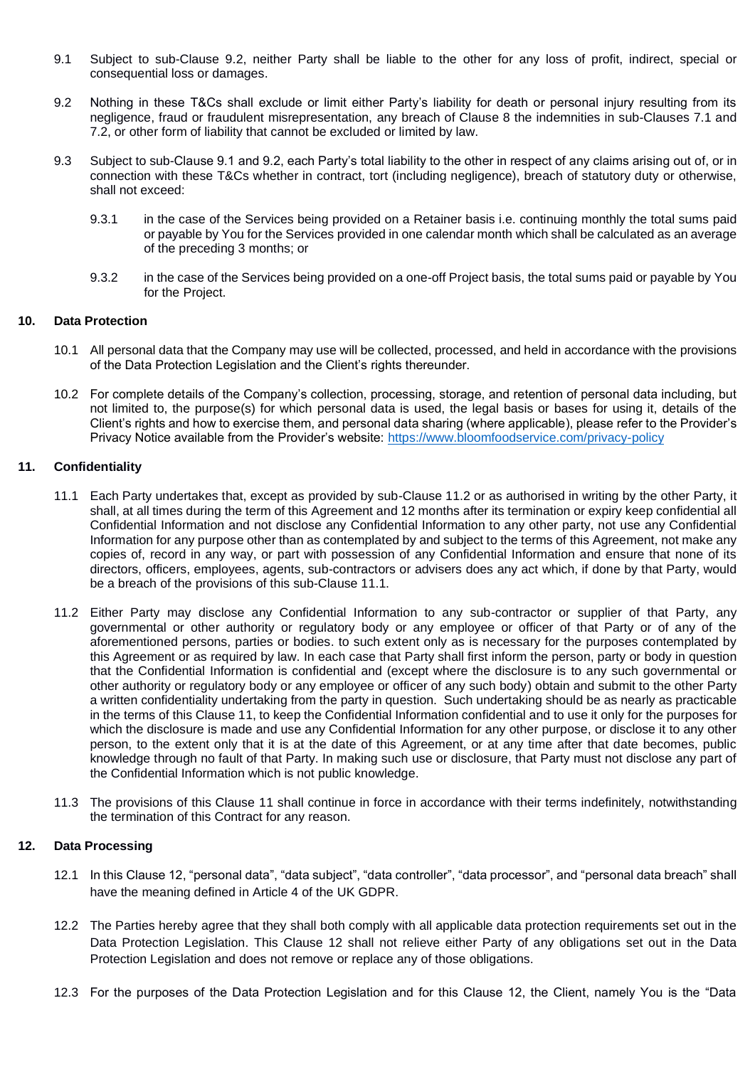- 9.1 Subject to sub-Clause 9.2, neither Party shall be liable to the other for any loss of profit, indirect, special or consequential loss or damages.
- 9.2 Nothing in these T&Cs shall exclude or limit either Party's liability for death or personal injury resulting from its negligence, fraud or fraudulent misrepresentation, any breach of Clause 8 the indemnities in sub-Clauses 7.1 and 7.2, or other form of liability that cannot be excluded or limited by law.
- 9.3 Subject to sub-Clause 9.1 and 9.2, each Party's total liability to the other in respect of any claims arising out of, or in connection with these T&Cs whether in contract, tort (including negligence), breach of statutory duty or otherwise, shall not exceed:
	- 9.3.1 in the case of the Services being provided on a Retainer basis i.e. continuing monthly the total sums paid or payable by You for the Services provided in one calendar month which shall be calculated as an average of the preceding 3 months; or
	- 9.3.2 in the case of the Services being provided on a one-off Project basis, the total sums paid or payable by You for the Project.

### **10. Data Protection**

- 10.1 All personal data that the Company may use will be collected, processed, and held in accordance with the provisions of the Data Protection Legislation and the Client's rights thereunder.
- 10.2 For complete details of the Company's collection, processing, storage, and retention of personal data including, but not limited to, the purpose(s) for which personal data is used, the legal basis or bases for using it, details of the Client's rights and how to exercise them, and personal data sharing (where applicable), please refer to the Provider's Privacy Notice available from the Provider's website: <https://www.bloomfoodservice.com/privacy-policy>

### **11. Confidentiality**

- 11.1 Each Party undertakes that, except as provided by sub-Clause 11.2 or as authorised in writing by the other Party, it shall, at all times during the term of this Agreement and 12 months after its termination or expiry keep confidential all Confidential Information and not disclose any Confidential Information to any other party, not use any Confidential Information for any purpose other than as contemplated by and subject to the terms of this Agreement, not make any copies of, record in any way, or part with possession of any Confidential Information and ensure that none of its directors, officers, employees, agents, sub-contractors or advisers does any act which, if done by that Party, would be a breach of the provisions of this sub-Clause 11.1.
- 11.2 Either Party may disclose any Confidential Information to any sub-contractor or supplier of that Party, any governmental or other authority or regulatory body or any employee or officer of that Party or of any of the aforementioned persons, parties or bodies. to such extent only as is necessary for the purposes contemplated by this Agreement or as required by law. In each case that Party shall first inform the person, party or body in question that the Confidential Information is confidential and (except where the disclosure is to any such governmental or other authority or regulatory body or any employee or officer of any such body) obtain and submit to the other Party a written confidentiality undertaking from the party in question. Such undertaking should be as nearly as practicable in the terms of this Clause 11, to keep the Confidential Information confidential and to use it only for the purposes for which the disclosure is made and use any Confidential Information for any other purpose, or disclose it to any other person, to the extent only that it is at the date of this Agreement, or at any time after that date becomes, public knowledge through no fault of that Party. In making such use or disclosure, that Party must not disclose any part of the Confidential Information which is not public knowledge.
- 11.3 The provisions of this Clause 11 shall continue in force in accordance with their terms indefinitely, notwithstanding the termination of this Contract for any reason.

### **12. Data Processing**

- 12.1 In this Clause 12, "personal data", "data subject", "data controller", "data processor", and "personal data breach" shall have the meaning defined in Article 4 of the UK GDPR.
- 12.2 The Parties hereby agree that they shall both comply with all applicable data protection requirements set out in the Data Protection Legislation. This Clause 12 shall not relieve either Party of any obligations set out in the Data Protection Legislation and does not remove or replace any of those obligations.
- 12.3 For the purposes of the Data Protection Legislation and for this Clause 12, the Client, namely You is the "Data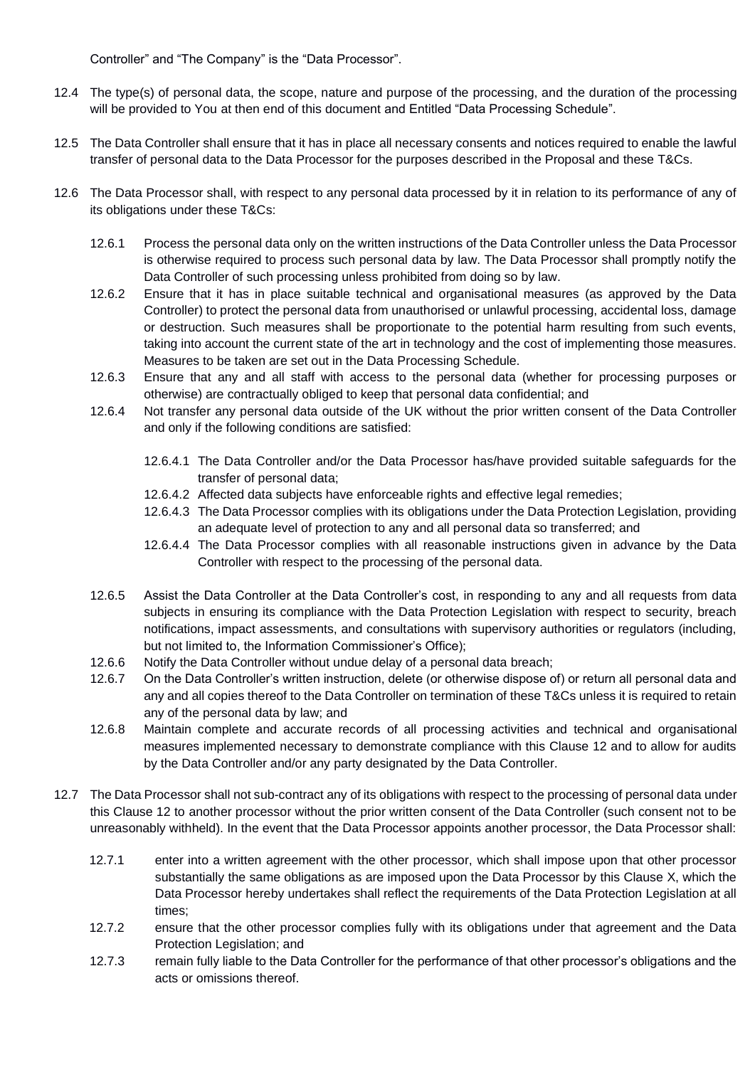Controller" and "The Company" is the "Data Processor".

- 12.4 The type(s) of personal data, the scope, nature and purpose of the processing, and the duration of the processing will be provided to You at then end of this document and Entitled "Data Processing Schedule".
- 12.5 The Data Controller shall ensure that it has in place all necessary consents and notices required to enable the lawful transfer of personal data to the Data Processor for the purposes described in the Proposal and these T&Cs.
- 12.6 The Data Processor shall, with respect to any personal data processed by it in relation to its performance of any of its obligations under these T&Cs:
	- 12.6.1 Process the personal data only on the written instructions of the Data Controller unless the Data Processor is otherwise required to process such personal data by law. The Data Processor shall promptly notify the Data Controller of such processing unless prohibited from doing so by law.
	- 12.6.2 Ensure that it has in place suitable technical and organisational measures (as approved by the Data Controller) to protect the personal data from unauthorised or unlawful processing, accidental loss, damage or destruction. Such measures shall be proportionate to the potential harm resulting from such events, taking into account the current state of the art in technology and the cost of implementing those measures. Measures to be taken are set out in the Data Processing Schedule.
	- 12.6.3 Ensure that any and all staff with access to the personal data (whether for processing purposes or otherwise) are contractually obliged to keep that personal data confidential; and
	- 12.6.4 Not transfer any personal data outside of the UK without the prior written consent of the Data Controller and only if the following conditions are satisfied:
		- 12.6.4.1 The Data Controller and/or the Data Processor has/have provided suitable safeguards for the transfer of personal data;
		- 12.6.4.2 Affected data subjects have enforceable rights and effective legal remedies;
		- 12.6.4.3 The Data Processor complies with its obligations under the Data Protection Legislation, providing an adequate level of protection to any and all personal data so transferred; and
		- 12.6.4.4 The Data Processor complies with all reasonable instructions given in advance by the Data Controller with respect to the processing of the personal data.
	- 12.6.5 Assist the Data Controller at the Data Controller's cost, in responding to any and all requests from data subjects in ensuring its compliance with the Data Protection Legislation with respect to security, breach notifications, impact assessments, and consultations with supervisory authorities or regulators (including, but not limited to, the Information Commissioner's Office);
	- 12.6.6 Notify the Data Controller without undue delay of a personal data breach;
	- 12.6.7 On the Data Controller's written instruction, delete (or otherwise dispose of) or return all personal data and any and all copies thereof to the Data Controller on termination of these T&Cs unless it is required to retain any of the personal data by law; and
	- 12.6.8 Maintain complete and accurate records of all processing activities and technical and organisational measures implemented necessary to demonstrate compliance with this Clause 12 and to allow for audits by the Data Controller and/or any party designated by the Data Controller.
- 12.7 The Data Processor shall not sub-contract any of its obligations with respect to the processing of personal data under this Clause 12 to another processor without the prior written consent of the Data Controller (such consent not to be unreasonably withheld). In the event that the Data Processor appoints another processor, the Data Processor shall:
	- 12.7.1 enter into a written agreement with the other processor, which shall impose upon that other processor substantially the same obligations as are imposed upon the Data Processor by this Clause X, which the Data Processor hereby undertakes shall reflect the requirements of the Data Protection Legislation at all times;
	- 12.7.2 ensure that the other processor complies fully with its obligations under that agreement and the Data Protection Legislation; and
	- 12.7.3 remain fully liable to the Data Controller for the performance of that other processor's obligations and the acts or omissions thereof.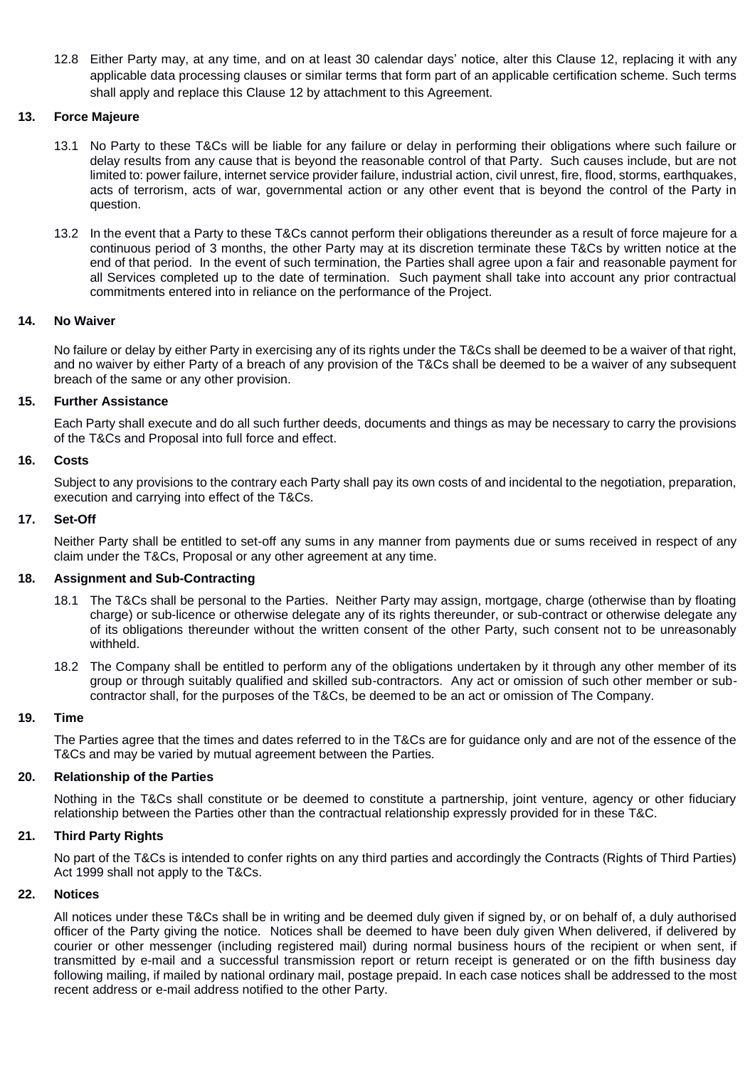12.8 Either Party may, at any time, and on at least 30 calendar days' notice, alter this Clause 12, replacing it with any applicable data processing clauses or similar terms that form part of an applicable certification scheme. Such terms shall apply and replace this Clause 12 by attachment to this Agreement.

## **13. Force Majeure**

- 13.1 No Party to these T&Cs will be liable for any failure or delay in performing their obligations where such failure or delay results from any cause that is beyond the reasonable control of that Party. Such causes include, but are not limited to: power failure, internet service provider failure, industrial action, civil unrest, fire, flood, storms, earthquakes, acts of terrorism, acts of war, governmental action or any other event that is beyond the control of the Party in question.
- 13.2 In the event that a Party to these T&Cs cannot perform their obligations thereunder as a result of force majeure for a continuous period of 3 months, the other Party may at its discretion terminate these T&Cs by written notice at the end of that period. In the event of such termination, the Parties shall agree upon a fair and reasonable payment for all Services completed up to the date of termination. Such payment shall take into account any prior contractual commitments entered into in reliance on the performance of the Project.

### **14. No Waiver**

No failure or delay by either Party in exercising any of its rights under the T&Cs shall be deemed to be a waiver of that right, and no waiver by either Party of a breach of any provision of the T&Cs shall be deemed to be a waiver of any subsequent breach of the same or any other provision.

#### **15. Further Assistance**

Each Party shall execute and do all such further deeds, documents and things as may be necessary to carry the provisions of the T&Cs and Proposal into full force and effect.

#### **16. Costs**

Subject to any provisions to the contrary each Party shall pay its own costs of and incidental to the negotiation, preparation, execution and carrying into effect of the T&Cs.

## **17. Set-Off**

Neither Party shall be entitled to set-off any sums in any manner from payments due or sums received in respect of any claim under the T&Cs, Proposal or any other agreement at any time.

### **18. Assignment and Sub-Contracting**

- 18.1 The T&Cs shall be personal to the Parties. Neither Party may assign, mortgage, charge (otherwise than by floating charge) or sub-licence or otherwise delegate any of its rights thereunder, or sub-contract or otherwise delegate any of its obligations thereunder without the written consent of the other Party, such consent not to be unreasonably withheld.
- 18.2 The Company shall be entitled to perform any of the obligations undertaken by it through any other member of its group or through suitably qualified and skilled sub-contractors. Any act or omission of such other member or subcontractor shall, for the purposes of the T&Cs, be deemed to be an act or omission of The Company.

## **19. Time**

The Parties agree that the times and dates referred to in the T&Cs are for guidance only and are not of the essence of the T&Cs and may be varied by mutual agreement between the Parties.

#### **20. Relationship of the Parties**

Nothing in the T&Cs shall constitute or be deemed to constitute a partnership, joint venture, agency or other fiduciary relationship between the Parties other than the contractual relationship expressly provided for in these T&C.

## **21. Third Party Rights**

No part of the T&Cs is intended to confer rights on any third parties and accordingly the Contracts (Rights of Third Parties) Act 1999 shall not apply to the T&Cs.

## **22. Notices**

All notices under these T&Cs shall be in writing and be deemed duly given if signed by, or on behalf of, a duly authorised officer of the Party giving the notice. Notices shall be deemed to have been duly given When delivered, if delivered by courier or other messenger (including registered mail) during normal business hours of the recipient or when sent, if transmitted by e-mail and a successful transmission report or return receipt is generated or on the fifth business day following mailing, if mailed by national ordinary mail, postage prepaid. In each case notices shall be addressed to the most recent address or e-mail address notified to the other Party.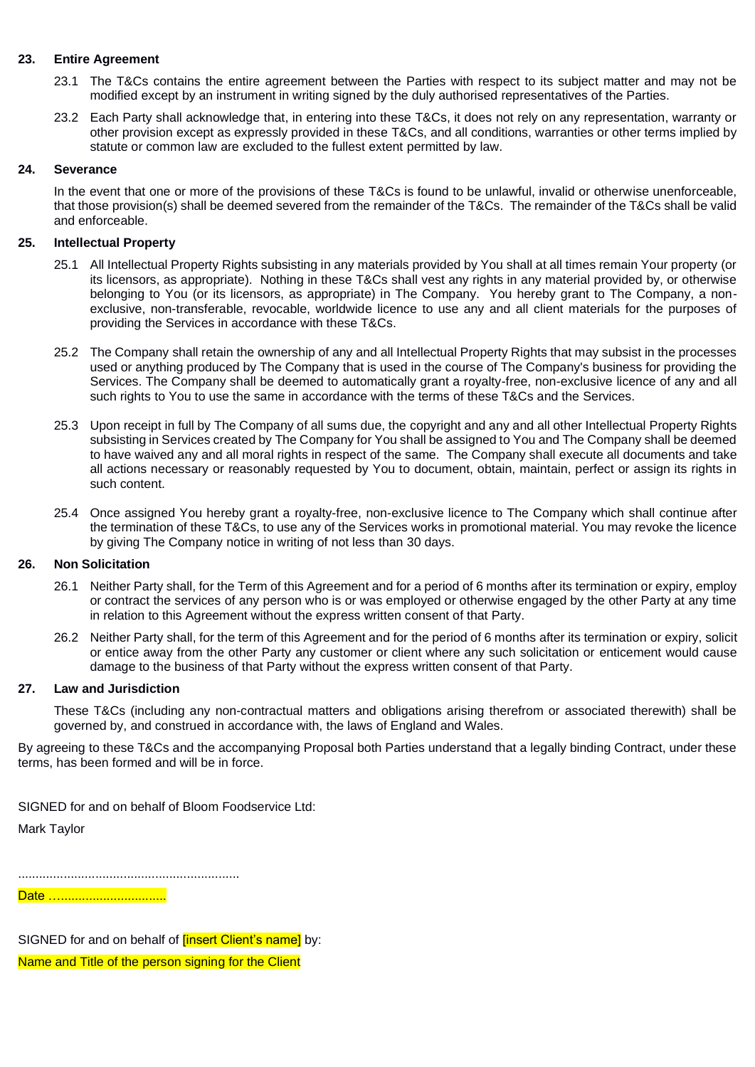## **23. Entire Agreement**

- 23.1 The T&Cs contains the entire agreement between the Parties with respect to its subject matter and may not be modified except by an instrument in writing signed by the duly authorised representatives of the Parties.
- 23.2 Each Party shall acknowledge that, in entering into these T&Cs, it does not rely on any representation, warranty or other provision except as expressly provided in these T&Cs, and all conditions, warranties or other terms implied by statute or common law are excluded to the fullest extent permitted by law.

### **24. Severance**

In the event that one or more of the provisions of these T&Cs is found to be unlawful, invalid or otherwise unenforceable, that those provision(s) shall be deemed severed from the remainder of the T&Cs. The remainder of the T&Cs shall be valid and enforceable.

## **25. Intellectual Property**

- 25.1 All Intellectual Property Rights subsisting in any materials provided by You shall at all times remain Your property (or its licensors, as appropriate). Nothing in these T&Cs shall vest any rights in any material provided by, or otherwise belonging to You (or its licensors, as appropriate) in The Company. You hereby grant to The Company, a nonexclusive, non-transferable, revocable, worldwide licence to use any and all client materials for the purposes of providing the Services in accordance with these T&Cs.
- 25.2 The Company shall retain the ownership of any and all Intellectual Property Rights that may subsist in the processes used or anything produced by The Company that is used in the course of The Company's business for providing the Services. The Company shall be deemed to automatically grant a royalty-free, non-exclusive licence of any and all such rights to You to use the same in accordance with the terms of these T&Cs and the Services.
- 25.3 Upon receipt in full by The Company of all sums due, the copyright and any and all other Intellectual Property Rights subsisting in Services created by The Company for You shall be assigned to You and The Company shall be deemed to have waived any and all moral rights in respect of the same. The Company shall execute all documents and take all actions necessary or reasonably requested by You to document, obtain, maintain, perfect or assign its rights in such content.
- 25.4 Once assigned You hereby grant a royalty-free, non-exclusive licence to The Company which shall continue after the termination of these T&Cs, to use any of the Services works in promotional material. You may revoke the licence by giving The Company notice in writing of not less than 30 days.

# **26. Non Solicitation**

- 26.1 Neither Party shall, for the Term of this Agreement and for a period of 6 months after its termination or expiry, employ or contract the services of any person who is or was employed or otherwise engaged by the other Party at any time in relation to this Agreement without the express written consent of that Party.
- 26.2 Neither Party shall, for the term of this Agreement and for the period of 6 months after its termination or expiry, solicit or entice away from the other Party any customer or client where any such solicitation or enticement would cause damage to the business of that Party without the express written consent of that Party.

### **27. Law and Jurisdiction**

These T&Cs (including any non-contractual matters and obligations arising therefrom or associated therewith) shall be governed by, and construed in accordance with, the laws of England and Wales.

By agreeing to these T&Cs and the accompanying Proposal both Parties understand that a legally binding Contract, under these terms, has been formed and will be in force.

SIGNED for and on behalf of Bloom Foodservice Ltd:

Mark Taylor

...............................................................

Date …...............................

SIGNED for and on behalf of **[insert Client's name]** by:

Name and Title of the person signing for the Client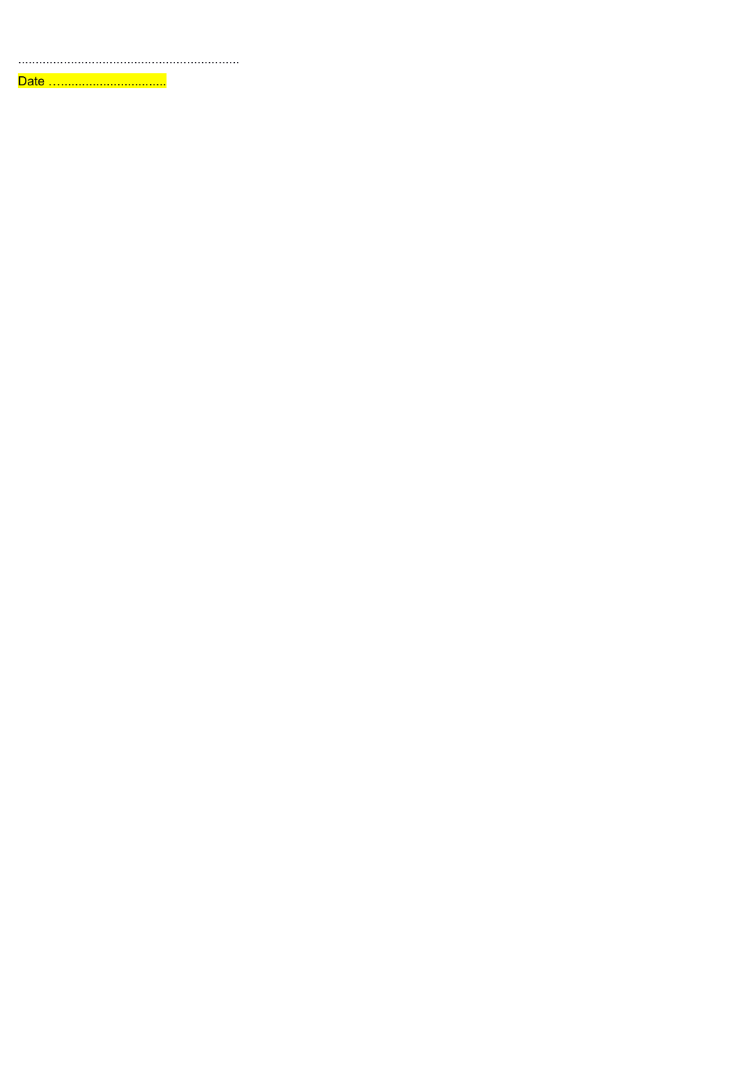Date ..................................